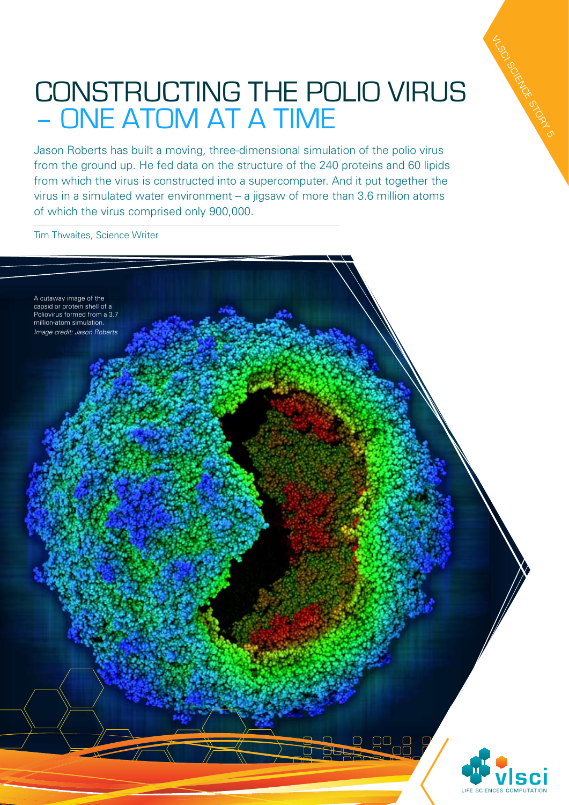## Constructing the polio virus – one atom at a time

VLSCI SCIENCE STORY 5

Jason Roberts has built a moving, three-dimensional simulation of the polio virus from the ground up. He fed data on the structure of the 240 proteins and 60 lipids from which the virus is constructed into a supercomputer. And it put together the virus in a simulated water environment – a jigsaw of more than 3.6 million atoms of which the virus comprised only 900,000.

Tim Thwaites, Science Writer